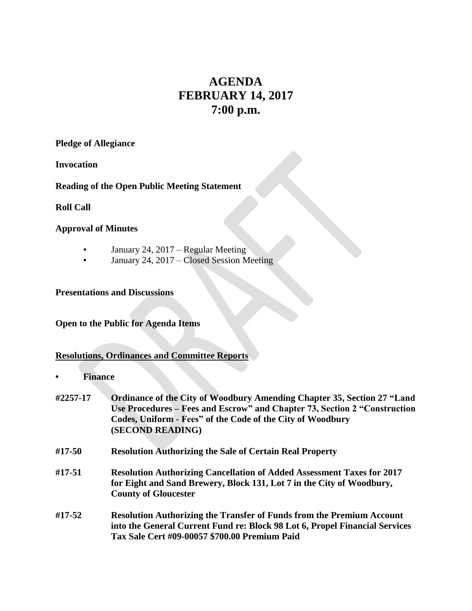# **AGENDA FEBRUARY 14, 2017 7:00 p.m.**

**Pledge of Allegiance**

**Invocation**

**Reading of the Open Public Meeting Statement**

**Roll Call**

## **Approval of Minutes**

- **•** January 24, 2017 Regular Meeting
- January 24,  $2017 Closed Session Meeting$

**Presentations and Discussions**

## **Open to the Public for Agenda Items**

# **Resolutions, Ordinances and Committee Reports**

- **• Finance**
- **#2257-17 Ordinance of the City of Woodbury Amending Chapter 35, Section 27 "Land Use Procedures – Fees and Escrow" and Chapter 73, Section 2 "Construction Codes, Uniform - Fees" of the Code of the City of Woodbury (SECOND READING)**
- **#17-50 Resolution Authorizing the Sale of Certain Real Property**
- **#17-51 Resolution Authorizing Cancellation of Added Assessment Taxes for 2017 for Eight and Sand Brewery, Block 131, Lot 7 in the City of Woodbury, County of Gloucester**
- **#17-52 Resolution Authorizing the Transfer of Funds from the Premium Account into the General Current Fund re: Block 98 Lot 6, Propel Financial Services Tax Sale Cert #09-00057 \$700.00 Premium Paid**